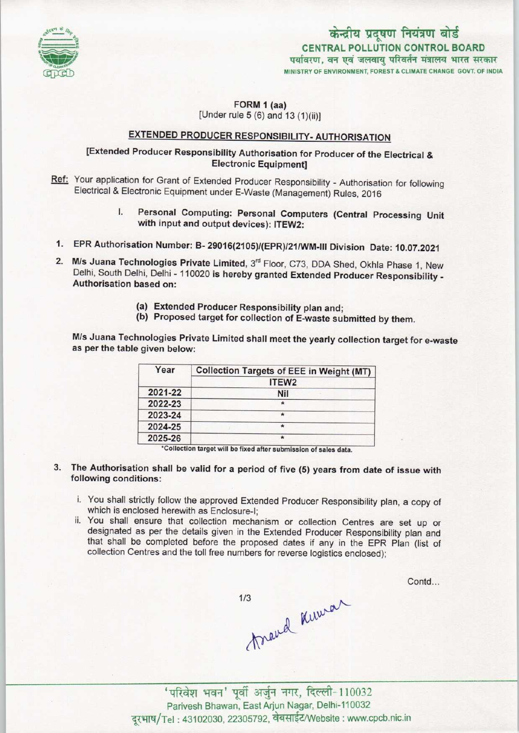

# MINISTRY OF ENVIRONMENT, FOREST & CLIMATE CHANGE GOVT. OF INDIA CENTRAL POLLUTION CONTROL BOARD<br>पर्यावरण, वन एवं जलवाय परिवर्तन मंत्रालय भारत सरकार केन्द्रीय प्रदूषण नियंत्रण बोर्ड

#### FORM 1 (aa) [Under rule  $5(6)$  and  $13(1)(ii)$ ]

## EXTENDED PRODUCER RESPONSIBILITY- AUTHORISATION

### [Extended Producer Responsibility Authorisation for Producer of the Electrical & Electronic Equipment]

- Ref: Your application for Grant of Extended Producer Responsibility Authorisation for following Electrical & Electronic Equipment under E-Waste (Management) Rules, 2016
	- I. Personal Computing: Personal Computers (Central Processing Unit with input and output devices): ITEW2:
- 1.EPR Authorisation Number: B- 29016(2105)/(EPR)/21/WM-lll Division Date: 10.07.2021
- 2. M/s Juana Technologies Private Limited, 3<sup>rd</sup> Floor, C73, DDA Shed, Okhla Phase 1, New Delhi, South Delhi, Delhi -110020 is hereby granted Extended Producer Responsibility - Authorisation based on:
	- (a)Extended Producer Responsibility plan and;
	- (b) Proposed target for collection of E-waste submitted by them.

M/s Juana Technologies Private Limited shall meet the yearly collection target for e-waste as per the table given below:

| Year    | <b>Collection Targets of EEE in Weight (MT)</b> |
|---------|-------------------------------------------------|
|         | ITEW <sub>2</sub>                               |
| 2021-22 | <b>Nil</b>                                      |
| 2022-23 |                                                 |
| 2023-24 |                                                 |
| 2024-25 |                                                 |
| 2025-26 |                                                 |

\*Collection target will be fixed after submission of sales data.

- 3. The Authorisation shall be valid for a period of five (5) years from date of issue with following conditions:
	- i. You shall strictly follow the approved Extended Producer Responsibility plan, a copy of which is enclosed herewith as Enclosure-I;
	- ii. You shall ensure that collection mechanism or collection Centres are set up or designated as per the details given in the Extended Producer Responsibility plan and that shall be completed before the proposed dates if any in the EPR Plan (list of collection Centres and the toll free numbers for reverse logistics enclosed);

Contd...

travel knowar  $1/3$ 

-<br>परिवेश भवन' पूर्वी अर्जुन नगर, दिल्ली-110032 Parivesh Bhawan, East Arjun Nagar, Delhi-110032 दूरभाष/Tel: 43102030, 22305792, वेबसाईट/Website : www.cpcb.nic.in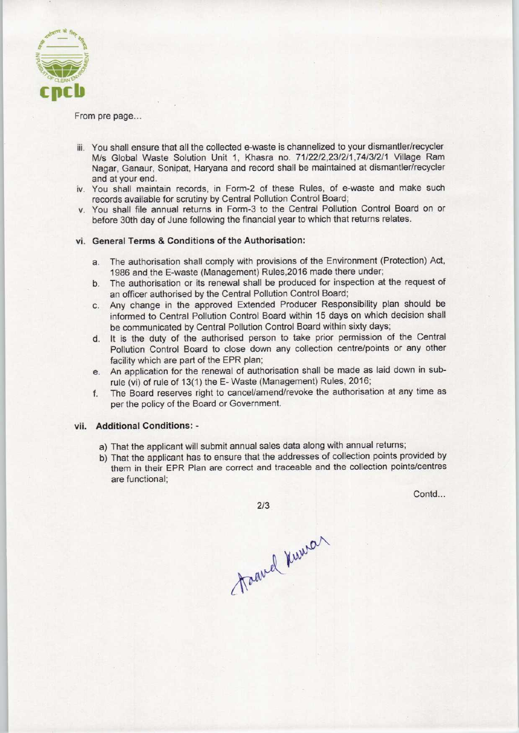

From pre page...

- iii. You shall ensure that all the collected e-waste is channelized to your dismantler/recycler M/s Global Waste Solution Unit 1, Khasra no. 71/22/2,23/2/1,74/3/2/1 Village Ram Nagar, Ganaur, Sonipat, Haryana and record shall be maintained at dismantler/recycler and at your end.
- iv. You shall maintain records, in Form-2 of these Rules, of e-waste and make such records available for scrutiny by Central Pollution Control Board;
- v. You shall file annual returns in Form-3 to the Central Pollution Control Board on or before 30th day of June following the financial year to which that returns relates.

### vi. General Terms & Conditions of the Authorisation:

- a.The authorisation shall comply with provisions of the Environment (Protection) Act, 1986 and the E-waste (Management) Rules,2016 made there under;
- b.The authorisation or its renewal shall be produced for inspection at the request of an officer authorised by the Central Pollution Control Board;
- c.Any change in the approved Extended Producer Responsibility plan should be informed to Central Pollution Control Board within 15 days on which decision shall be communicated by Central Pollution Control Board within sixty days;
- d. It is the duty of the authorised person to take prior permission of the Central Pollution Control Board to close down any collection centre/points or any other facility which are part of the EPR plan;
- e.An application for the renewal of authorisation shall be made aslaid down in subrule (vi) of rule of 13(1) the E-Waste (Management) Rules, 2016;
- f.The Board reserves right to cancel/amend/revoke the authorisation at any time as per the policy of the Board or Government.

#### vii. Additional Conditions: -

- a) That the applicant will submit annual sales data along with annual returns;
- b) That the applicant has to ensure that the addresses of collection points provided by them in their EPR Plan are correct and traceable and the collection points/centres are functional;

 $2/3$ 

Contd...

Asavel Kuman